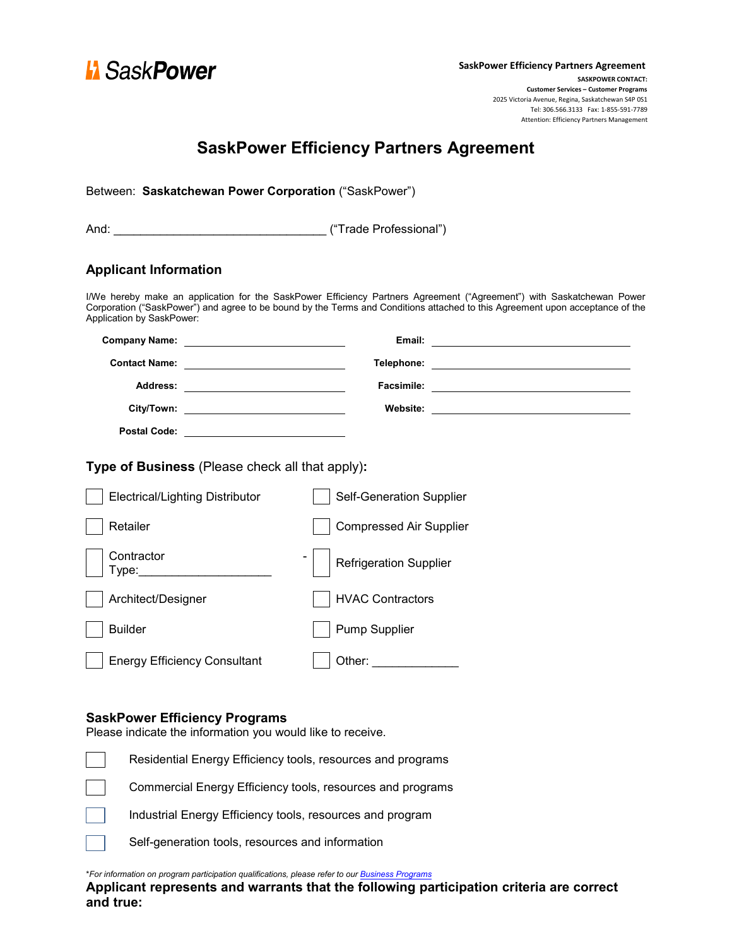

# **SaskPower Efficiency Partners Agreement**

| <b>Applicant Information</b>                                                                          |                                                                                                                                                                                                                                                        |
|-------------------------------------------------------------------------------------------------------|--------------------------------------------------------------------------------------------------------------------------------------------------------------------------------------------------------------------------------------------------------|
| <b>Application by SaskPower:</b>                                                                      | I/We hereby make an application for the SaskPower Efficiency Partners Agreement ("Agreement") with Saskatchewan Power<br>Corporation ("SaskPower") and agree to be bound by the Terms and Conditions attached to this Agreement upon acceptance of the |
|                                                                                                       |                                                                                                                                                                                                                                                        |
|                                                                                                       |                                                                                                                                                                                                                                                        |
|                                                                                                       |                                                                                                                                                                                                                                                        |
|                                                                                                       |                                                                                                                                                                                                                                                        |
|                                                                                                       |                                                                                                                                                                                                                                                        |
| Type of Business (Please check all that apply):<br><b>Electrical/Lighting Distributor</b><br>Retailer | Self-Generation Supplier<br><b>Compressed Air Supplier</b>                                                                                                                                                                                             |
| Contractor<br>Type:                                                                                   | <b>Refrigeration Supplier</b>                                                                                                                                                                                                                          |
| Architect/Designer                                                                                    | <b>HVAC Contractors</b>                                                                                                                                                                                                                                |
| <b>Builder</b>                                                                                        | <b>Pump Supplier</b>                                                                                                                                                                                                                                   |
| <b>Energy Efficiency Consultant</b>                                                                   | Other: New York District Production Control                                                                                                                                                                                                            |
| <b>SaskPower Efficiency Programs</b><br>Please indicate the information you would like to receive.    |                                                                                                                                                                                                                                                        |
|                                                                                                       | Residential Energy Efficiency tools, resources and programs                                                                                                                                                                                            |
|                                                                                                       | Commercial Energy Efficiency tools, resources and programs                                                                                                                                                                                             |
|                                                                                                       | Industrial Energy Efficiency tools, resources and program                                                                                                                                                                                              |
|                                                                                                       |                                                                                                                                                                                                                                                        |

\**For information on program participation qualifications, please refer to our Business [Programs](https://www.saskpower.com/Efficiency-Programs-and-Tips/Saving-Power-At-Work/Savings-Programs/Business-Programs/Join-the-SaskPower-Efficiency-Partner-Program)*

**Applicant represents and warrants that the following participation criteria are correct and true:**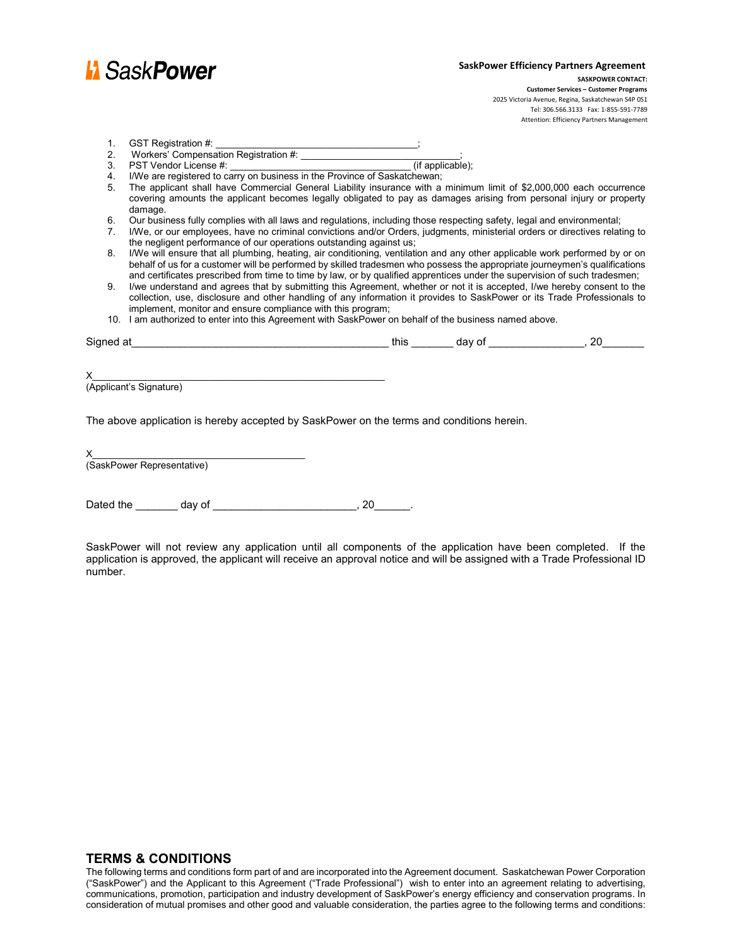

Attention: Efficiency Partners Management

| GST Registration #:                  |  |
|--------------------------------------|--|
| Workers' Componention Pogistration # |  |

- 2. Workers' Compensation Registration #: \_\_\_\_\_\_\_\_\_\_\_\_\_\_\_\_\_\_\_\_\_\_\_\_\_\_\_\_\_\_; 3. PST Vendor License #:
- 
- 4. I/We are registered to carry on business in the Province of Saskatchewan; 5. The applicant shall have Commercial General Liability insurance with a minimum limit of \$2,000,000 each occurrence covering amounts the applicant becomes legally obligated to pay as damages arising from personal injury or property
- damage.
- 6. Our business fully complies with all laws and regulations, including those respecting safety, legal and environmental;
- 7. I/We, or our employees, have no criminal convictions and/or Orders, judgments, ministerial orders or directives relating to the negligent performance of our operations outstanding against us;
- 8. I/We will ensure that all plumbing, heating, air conditioning, ventilation and any other applicable work performed by or on behalf of us for a customer will be performed by skilled tradesmen who possess the appropriate journeymen's qualifications and certificates prescribed from time to time by law, or by qualified apprentices under the supervision of such tradesmen;
- 9. I/we understand and agrees that by submitting this Agreement, whether or not it is accepted, I/we hereby consent to the collection, use, disclosure and other handling of any information it provides to SaskPower or its Trade Professionals to implement, monitor and ensure compliance with this program;
- 10. I am authorized to enter into this Agreement with SaskPower on behalf of the business named above.

| <b>.</b><br>510<br>-- | une | --     | v |
|-----------------------|-----|--------|---|
|                       |     | $\sim$ |   |

 $X_\perp$  and the set of the set of the set of the set of the set of the set of the set of the set of the set of the set of the set of the set of the set of the set of the set of the set of the set of the set of the set of t (Applicant's Signature)

The above application is hereby accepted by SaskPower on the terms and conditions herein.

| X                          |  |
|----------------------------|--|
| (SaskPower Representative) |  |
|                            |  |

Dated the \_\_\_\_\_\_\_\_\_ day of \_\_\_\_\_\_\_\_\_\_\_\_\_\_\_\_\_\_\_\_\_\_\_\_\_\_\_\_\_\_\_\_\_, 20

SaskPower will not review any application until all components of the application have been completed. If the application is approved, the applicant will receive an approval notice and will be assigned with a Trade Professional ID number.

# **TERMS & CONDITIONS**

The following terms and conditions form part of and are incorporated into the Agreement document. Saskatchewan Power Corporation ("SaskPower") and the Applicant to this Agreement ("Trade Professional") wish to enter into an agreement relating to advertising, communications, promotion, participation and industry development of SaskPower's energy efficiency and conservation programs. In consideration of mutual promises and other good and valuable consideration, the parties agree to the following terms and conditions: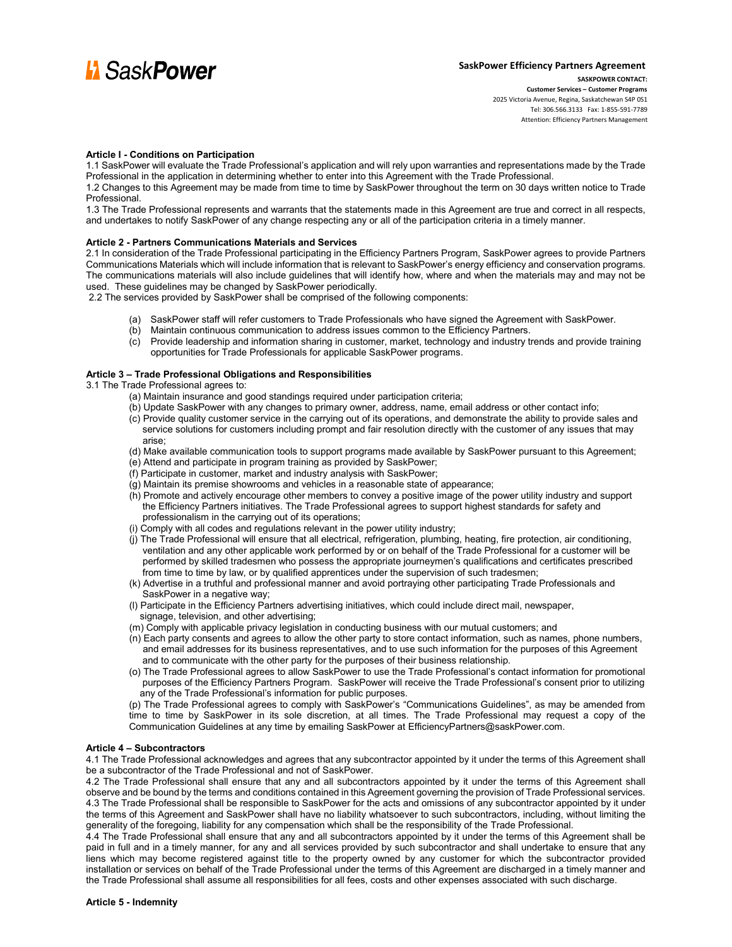

# **SaskPower Efficiency Partners Agreement SASKPOWER CONTACT: Customer Services – Customer Programs** 2025 Victoria Avenue, Regina, Saskatchewan S4P 0S1

Tel: 306.566.3133 Fax: 1-855-591-7789 Attention: Efficiency Partners Management

#### **Article I - Conditions on Participation**

1.1 SaskPower will evaluate the Trade Professional's application and will rely upon warranties and representations made by the Trade Professional in the application in determining whether to enter into this Agreement with the Trade Professional.

1.2 Changes to this Agreement may be made from time to time by SaskPower throughout the term on 30 days written notice to Trade Professional.

1.3 The Trade Professional represents and warrants that the statements made in this Agreement are true and correct in all respects, and undertakes to notify SaskPower of any change respecting any or all of the participation criteria in a timely manner.

#### **Article 2 - Partners Communications Materials and Services**

2.1 In consideration of the Trade Professional participating in the Efficiency Partners Program, SaskPower agrees to provide Partners Communications Materials which will include information that is relevant to SaskPower's energy efficiency and conservation programs. The communications materials will also include guidelines that will identify how, where and when the materials may and may not be used. These guidelines may be changed by SaskPower periodically.

2.2 The services provided by SaskPower shall be comprised of the following components:

- (a) SaskPower staff will refer customers to Trade Professionals who have signed the Agreement with SaskPower.
- (b) Maintain continuous communication to address issues common to the Efficiency Partners.
- (c) Provide leadership and information sharing in customer, market, technology and industry trends and provide training opportunities for Trade Professionals for applicable SaskPower programs.

#### **Article 3 – Trade Professional Obligations and Responsibilities**

3.1 The Trade Professional agrees to:

- (a) Maintain insurance and good standings required under participation criteria;
- (b) Update SaskPower with any changes to primary owner, address, name, email address or other contact info;
- (c) Provide quality customer service in the carrying out of its operations, and demonstrate the ability to provide sales and service solutions for customers including prompt and fair resolution directly with the customer of any issues that may arise;
- (d) Make available communication tools to support programs made available by SaskPower pursuant to this Agreement;
- (e) Attend and participate in program training as provided by SaskPower;
- (f) Participate in customer, market and industry analysis with SaskPower;
- (g) Maintain its premise showrooms and vehicles in a reasonable state of appearance;
- (h) Promote and actively encourage other members to convey a positive image of the power utility industry and support the Efficiency Partners initiatives. The Trade Professional agrees to support highest standards for safety and professionalism in the carrying out of its operations;
- (i) Comply with all codes and regulations relevant in the power utility industry;
- (j) The Trade Professional will ensure that all electrical, refrigeration, plumbing, heating, fire protection, air conditioning, ventilation and any other applicable work performed by or on behalf of the Trade Professional for a customer will be performed by skilled tradesmen who possess the appropriate journeymen's qualifications and certificates prescribed from time to time by law, or by qualified apprentices under the supervision of such tradesmen;
- (k) Advertise in a truthful and professional manner and avoid portraying other participating Trade Professionals and SaskPower in a negative way;
- (l) Participate in the Efficiency Partners advertising initiatives, which could include direct mail, newspaper, signage, television, and other advertising;
- (m) Comply with applicable privacy legislation in conducting business with our mutual customers; and
- (n) Each party consents and agrees to allow the other party to store contact information, such as names, phone numbers, and email addresses for its business representatives, and to use such information for the purposes of this Agreement and to communicate with the other party for the purposes of their business relationship.
- (o) The Trade Professional agrees to allow SaskPower to use the Trade Professional's contact information for promotional purposes of the Efficiency Partners Program. SaskPower will receive the Trade Professional's consent prior to utilizing any of the Trade Professional's information for public purposes.
- (p) The Trade Professional agrees to comply with SaskPower's "Communications Guidelines", as may be amended from time to time by SaskPower in its sole discretion, at all times. The Trade Professional may request a copy of the Communication Guidelines at any time by emailing SaskPower at EfficiencyPartners@saskPower.com.

#### **Article 4 – Subcontractors**

4.1 The Trade Professional acknowledges and agrees that any subcontractor appointed by it under the terms of this Agreement shall be a subcontractor of the Trade Professional and not of SaskPower.

4.2 The Trade Professional shall ensure that any and all subcontractors appointed by it under the terms of this Agreement shall observe and be bound by the terms and conditions contained in this Agreement governing the provision of Trade Professional services. 4.3 The Trade Professional shall be responsible to SaskPower for the acts and omissions of any subcontractor appointed by it under the terms of this Agreement and SaskPower shall have no liability whatsoever to such subcontractors, including, without limiting the generality of the foregoing, liability for any compensation which shall be the responsibility of the Trade Professional.

4.4 The Trade Professional shall ensure that any and all subcontractors appointed by it under the terms of this Agreement shall be paid in full and in a timely manner, for any and all services provided by such subcontractor and shall undertake to ensure that any liens which may become registered against title to the property owned by any customer for which the subcontractor provided installation or services on behalf of the Trade Professional under the terms of this Agreement are discharged in a timely manner and the Trade Professional shall assume all responsibilities for all fees, costs and other expenses associated with such discharge.